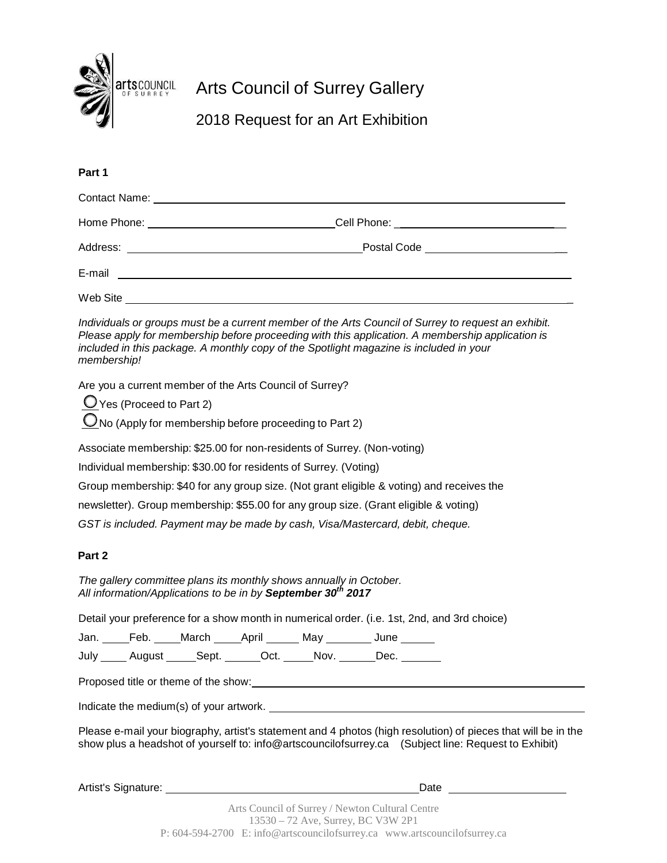

# Arts Council of Surrey Gallery

2018 Request for an Art Exhibition

# **Part 1**

|                                                       | Cell Phone: _________________________________ |  |
|-------------------------------------------------------|-----------------------------------------------|--|
|                                                       | Postal Code ________________________          |  |
| E-mail<br><u> 1980 - Jan Samuel Barbara, martin a</u> |                                               |  |
| Web Site                                              |                                               |  |

*Individuals or groups must be a current member of the Arts Council of Surrey to request an exhibit. Please apply for membership before proceeding with this application. A membership application is included in this package. A monthly copy of the Spotlight magazine is included in your membership!*

Are you a current member of the Arts Council of Surrey?

 Yes (Proceed to Part 2)  $\mathbb{O}_{\mathsf{No}}$  (Apply for membership before proceeding to Part 2)

Associate membership: \$25.00 for non-residents of Surrey. (Non-voting)

Individual membership: \$30.00 for residents of Surrey. (Voting)

Group membership: \$40 for any group size. (Not grant eligible & voting) and receives the

newsletter). Group membership: \$55.00 for any group size. (Grant eligible & voting)

*GST is included. Payment may be made by cash, Visa/Mastercard, debit, cheque.*

## **Part 2**

*The gallery committee plans its monthly shows annually in October. All information/Applications to be in by September 30th 2017*

Detail your preference for a show month in numerical order. (i.e. 1st, 2nd, and 3rd choice)

Jan. Feb. March April May June

July August Sept. Oct. Nov. Dec.

Proposed title or theme of the show:

Indicate the medium(s) of your artwork.

Please e-mail your biography, artist's statement and 4 photos (high resolution) of pieces that will be in the show plus a headshot of yourself to: [info@artscouncilofsurrey.ca \(](mailto:info@artscouncilofsurrey.ca)Subject line: Request to Exhibit)

Artist's Signature: Date **Date Contains a Container and Container** Parties Date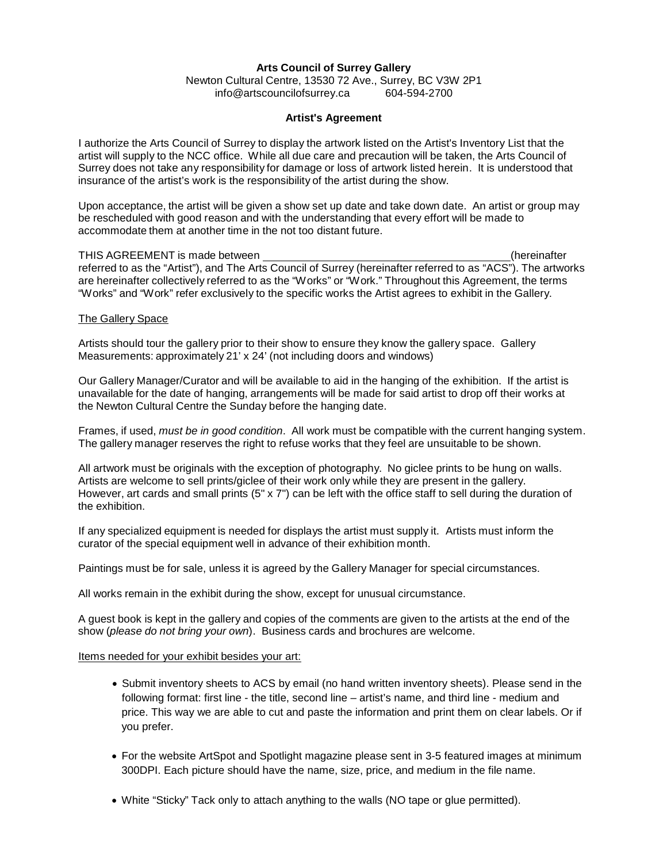## **Arts Council of Surrey Gallery**

Newton Cultural Centre, 13530 72 Ave., Surrey, BC V3W 2P1 [info@artscouncilofsurrey.ca](mailto:info@artscouncilofsurrey.ca) 604-594-2700

#### **Artist's Agreement**

I authorize the Arts Council of Surrey to display the artwork listed on the Artist's Inventory List that the artist will supply to the NCC office. While all due care and precaution will be taken, the Arts Council of Surrey does not take any responsibility for damage or loss of artwork listed herein. It is understood that insurance of the artist's work is the responsibility of the artist during the show.

Upon acceptance, the artist will be given a show set up date and take down date. An artist or group may be rescheduled with good reason and with the understanding that every effort will be made to accommodate them at another time in the not too distant future.

THIS AGREEMENT is made between (hereinafter referred to as the "Artist"), and The Arts Council of Surrey (hereinafter referred to as "ACS"). The artworks are hereinafter collectively referred to as the "Works" or "Work." Throughout this Agreement, the terms "Works" and "Work" refer exclusively to the specific works the Artist agrees to exhibit in the Gallery.

#### The Gallery Space

Artists should tour the gallery prior to their show to ensure they know the gallery space. Gallery Measurements: approximately 21' x 24' (not including doors and windows)

Our Gallery Manager/Curator and will be available to aid in the hanging of the exhibition. If the artist is unavailable for the date of hanging, arrangements will be made for said artist to drop off their works at the Newton Cultural Centre the Sunday before the hanging date.

Frames, if used, *must be in good condition*. All work must be compatible with the current hanging system. The gallery manager reserves the right to refuse works that they feel are unsuitable to be shown.

All artwork must be originals with the exception of photography. No giclee prints to be hung on walls. Artists are welcome to sell prints/giclee of their work only while they are present in the gallery. However, art cards and small prints (5" x 7") can be left with the office staff to sell during the duration of the exhibition.

If any specialized equipment is needed for displays the artist must supply it. Artists must inform the curator of the special equipment well in advance of their exhibition month.

Paintings must be for sale, unless it is agreed by the Gallery Manager for special circumstances.

All works remain in the exhibit during the show, except for unusual circumstance.

A guest book is kept in the gallery and copies of the comments are given to the artists at the end of the show (*please do not bring your own*). Business cards and brochures are welcome.

#### Items needed for your exhibit besides your art:

- Submit inventory sheets to ACS by email (no hand written inventory sheets). Please send in the following format: first line - the title, second line – artist's name, and third line - medium and price. This way we are able to cut and paste the information and print them on clear labels. Or if you prefer.
- For the website ArtSpot and Spotlight magazine please sent in 3-5 featured images at minimum 300DPI. Each picture should have the name, size, price, and medium in the file name.
- White "Sticky" Tack only to attach anything to the walls (NO tape or glue permitted).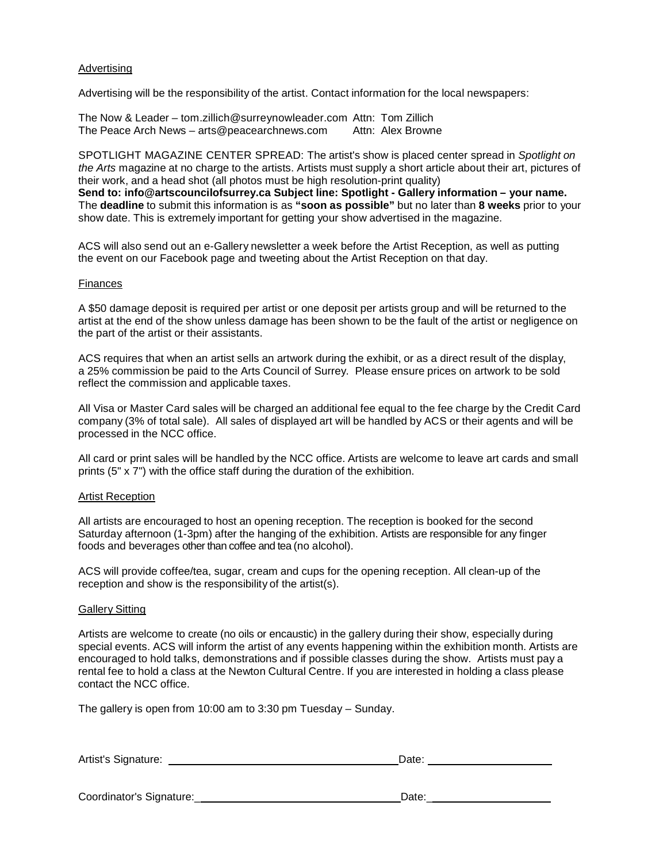## Advertising

Advertising will be the responsibility of the artist. Contact information for the local newspapers:

The Now & Leader – tom.zillich@surreynowleader.com Attn: Tom Zillich The Peace Arch News – arts@peacearchnews.com Attn: Alex Browne

SPOTLIGHT MAGAZINE CENTER SPREAD: The artist's show is placed center spread in *Spotlight on the Arts* magazine at no charge to the artists. Artists must supply a short article about their art, pictures of their work, and a head shot (all photos must be high resolution-print quality) **Send to: [info@artscouncilofsurrey.ca S](mailto:info@artscouncilofsurrey.ca)ubject line: Spotlight - Gallery information – your name.** The **deadline** to submit this information is as **"soon as possible"** but no later than **8 weeks** prior to your show date. This is extremely important for getting your show advertised in the magazine.

ACS will also send out an e-Gallery newsletter a week before the Artist Reception, as well as putting the event on our Facebook page and tweeting about the Artist Reception on that day.

#### Finances

A \$50 damage deposit is required per artist or one deposit per artists group and will be returned to the artist at the end of the show unless damage has been shown to be the fault of the artist or negligence on the part of the artist or their assistants.

ACS requires that when an artist sells an artwork during the exhibit, or as a direct result of the display, a 25% commission be paid to the Arts Council of Surrey. Please ensure prices on artwork to be sold reflect the commission and applicable taxes.

All Visa or Master Card sales will be charged an additional fee equal to the fee charge by the Credit Card company (3% of total sale). All sales of displayed art will be handled by ACS or their agents and will be processed in the NCC office.

All card or print sales will be handled by the NCC office. Artists are welcome to leave art cards and small prints (5" x 7") with the office staff during the duration of the exhibition.

## Artist Reception

All artists are encouraged to host an opening reception. The reception is booked for the second Saturday afternoon (1-3pm) after the hanging of the exhibition. Artists are responsible for any finger foods and beverages other than coffee and tea (no alcohol).

ACS will provide coffee/tea, sugar, cream and cups for the opening reception. All clean-up of the reception and show is the responsibility of the artist(s).

#### Gallery Sitting

Artists are welcome to create (no oils or encaustic) in the gallery during their show, especially during special events. ACS will inform the artist of any events happening within the exhibition month. Artists are encouraged to hold talks, demonstrations and if possible classes during the show. Artists must pay a rental fee to hold a class at the Newton Cultural Centre. If you are interested in holding a class please contact the NCC office.

The gallery is open from 10:00 am to 3:30 pm Tuesday – Sunday.

| Artist's Signature: | Date: |  |
|---------------------|-------|--|
|                     |       |  |

Coordinator's Signature:\_ Date:\_